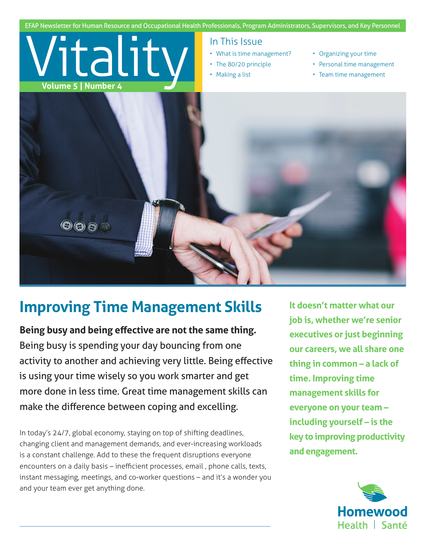

## **Improving Time Management Skills**

**Being busy and being effective are not the same thing.**  Being busy is spending your day bouncing from one activity to another and achieving very little. Being effective is using your time wisely so you work smarter and get more done in less time. Great time management skills can make the difference between coping and excelling.

In today's 24/7, global economy, staying on top of shifting deadlines, changing client and management demands, and ever-increasing workloads is a constant challenge. Add to these the frequent disruptions everyone encounters on a daily basis – inefficient processes, email , phone calls, texts, instant messaging, meetings, and co-worker questions – and it's a wonder you and your team ever get anything done.

**It doesn't matter what our job is, whether we're senior executives or just beginning our careers, we all share one thing in common – a lack of time. Improving time management skills for everyone on your team – including yourself – is the key to improving productivity and engagement.**

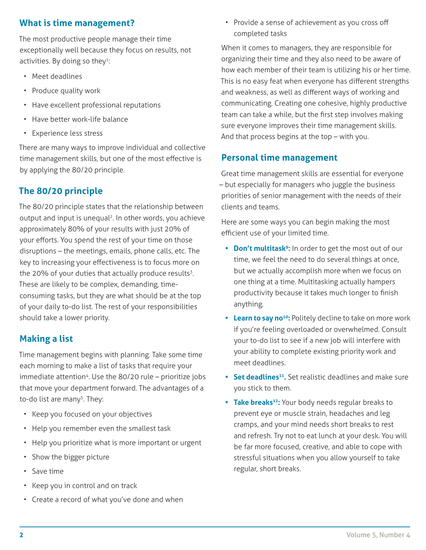#### **What is time management?**

The most productive people manage their time exceptionally well because they focus on results, not activities. By doing so they<sup>1</sup>:

- Meet deadlines
- Produce quality work
- Have excellent professional reputations
- Have better work-life balance
- Experience less stress

There are many ways to improve individual and collective time management skills, but one of the most effective is by applying the 80/20 principle.

#### **The 80/20 principle**

The 80/20 principle states that the relationship between output and input is unequal<sup>2</sup>. In other words, you achieve approximately 80% of your results with just 20% of your efforts. You spend the rest of your time on those disruptions – the meetings, emails, phone calls, etc. The key to increasing your effectiveness is to focus more on the 20% of your duties that actually produce results $3$ . These are likely to be complex, demanding, timeconsuming tasks, but they are what should be at the top of your daily to-do list. The rest of your responsibilities should take a lower priority.

#### **Making a list**

Time management begins with planning. Take some time each morning to make a list of tasks that require your immediate attention<sup>4</sup>. Use the 80/20 rule – prioritize jobs that move your department forward. The advantages of a to-do list are many<sup>5</sup>. They:

- Keep you focused on your objectives
- Help you remember even the smallest task
- Help you prioritize what is more important or urgent
- Show the bigger picture
- Save time
- Keep you in control and on track
- Create a record of what you've done and when

• Provide a sense of achievement as you cross off completed tasks

When it comes to managers, they are responsible for organizing their time and they also need to be aware of how each member of their team is utilizing his or her time. This is no easy feat when everyone has different strengths and weakness, as well as different ways of working and communicating. Creating one cohesive, highly productive team can take a while, but the first step involves making sure everyone improves their time management skills. And that process begins at the top – with you.

#### **Personal time management**

Great time management skills are essential for everyone – but especially for managers who juggle the business priorities of senior management with the needs of their clients and teams.

Here are some ways you can begin making the most efficient use of your limited time.

- **• Don't multitask9:** In order to get the most out of our time, we feel the need to do several things at once, but we actually accomplish more when we focus on one thing at a time. Multitasking actually hampers productivity because it takes much longer to finish anything.
- **• Learn to say no<sup>10</sup>:** Politely decline to take on more work if you're feeling overloaded or overwhelmed. Consult your to-do list to see if a new job will interfere with your ability to complete existing priority work and meet deadlines.
- **•** Set deadlines<sup>11</sup>. Set realistic deadlines and make sure you stick to them.
- **• Take breaks<sup>12</sup>:** Your body needs regular breaks to prevent eye or muscle strain, headaches and leg cramps, and your mind needs short breaks to rest and refresh. Try not to eat lunch at your desk. You will be far more focused, creative, and able to cope with stressful situations when you allow yourself to take regular, short breaks.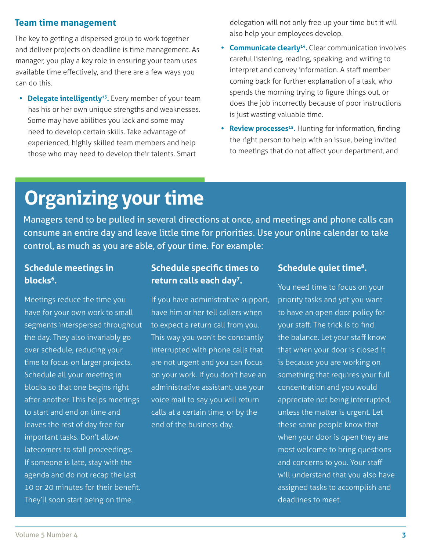#### **Team time management**

The key to getting a dispersed group to work together and deliver projects on deadline is time management. As manager, you play a key role in ensuring your team uses available time effectively, and there are a few ways you can do this.

**• Delegate intelligently13.** Every member of your team has his or her own unique strengths and weaknesses. Some may have abilities you lack and some may need to develop certain skills. Take advantage of experienced, highly skilled team members and help those who may need to develop their talents. Smart

delegation will not only free up your time but it will also help your employees develop.

- **• Communicate clearly<sup>14</sup>.** Clear communication involves careful listening, reading, speaking, and writing to interpret and convey information. A staff member coming back for further explanation of a task, who spends the morning trying to figure things out, or does the job incorrectly because of poor instructions is just wasting valuable time.
- **• Review processes<sup>15</sup>.** Hunting for information, finding the right person to help with an issue, being invited to meetings that do not affect your department, and

# **Organizing your time**

Managers tend to be pulled in several directions at once, and meetings and phone calls can consume an entire day and leave little time for priorities. Use your online calendar to take control, as much as you are able, of your time. For example:

#### **Schedule meetings in blocks<sup>6</sup>.**

Meetings reduce the time you have for your own work to small segments interspersed throughout the day. They also invariably go over schedule, reducing your time to focus on larger projects. Schedule all your meeting in blocks so that one begins right after another. This helps meetings to start and end on time and leaves the rest of day free for important tasks. Don't allow latecomers to stall proceedings. If someone is late, stay with the agenda and do not recap the last 10 or 20 minutes for their benefit. They'll soon start being on time.

#### **Schedule specific times to return calls each day<sup>7</sup>.**

If you have administrative support, have him or her tell callers when to expect a return call from you. This way you won't be constantly interrupted with phone calls that are not urgent and you can focus on your work. If you don't have an administrative assistant, use your voice mail to say you will return calls at a certain time, or by the end of the business day.

#### **Schedule quiet time8.**

You need time to focus on your priority tasks and yet you want to have an open door policy for your staff. The trick is to find the balance. Let your staff know that when your door is closed it is because you are working on something that requires your full concentration and you would appreciate not being interrupted, unless the matter is urgent. Let these same people know that when your door is open they are most welcome to bring questions and concerns to you. Your staff will understand that you also have assigned tasks to accomplish and deadlines to meet.